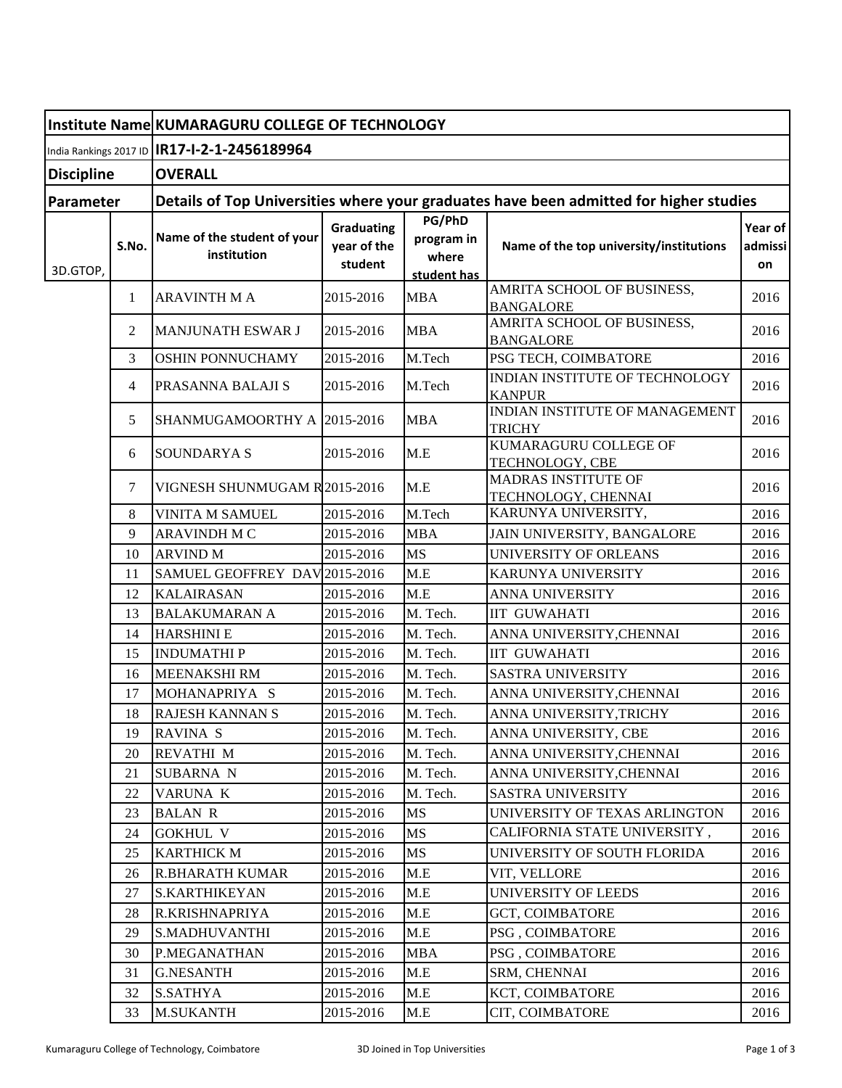|                   |       | Institute Name KUMARAGURU COLLEGE OF TECHNOLOGY                                        |                                             |                                              |                                                   |                          |  |  |
|-------------------|-------|----------------------------------------------------------------------------------------|---------------------------------------------|----------------------------------------------|---------------------------------------------------|--------------------------|--|--|
|                   |       | India Rankings 2017 ID   IR17-I-2-1-2456189964                                         |                                             |                                              |                                                   |                          |  |  |
| <b>Discipline</b> |       | <b>OVERALL</b>                                                                         |                                             |                                              |                                                   |                          |  |  |
| Parameter         |       | Details of Top Universities where your graduates have been admitted for higher studies |                                             |                                              |                                                   |                          |  |  |
| 3D.GTOP,          | S.No. | Name of the student of your<br>institution                                             | <b>Graduating</b><br>vear of the<br>student | PG/PhD<br>program in<br>where<br>student has | Name of the top university/institutions           | Year of<br>admissi<br>on |  |  |
|                   | 1     | <b>ARAVINTH M A</b>                                                                    | 2015-2016                                   | <b>MBA</b>                                   | AMRITA SCHOOL OF BUSINESS,<br><b>BANGALORE</b>    | 2016                     |  |  |
|                   | 2     | <b>MANJUNATH ESWAR J</b>                                                               | 2015-2016                                   | <b>MBA</b>                                   | AMRITA SCHOOL OF BUSINESS,<br><b>BANGALORE</b>    | 2016                     |  |  |
|                   | 3     | OSHIN PONNUCHAMY                                                                       | 2015-2016                                   | M.Tech                                       | PSG TECH, COIMBATORE                              | 2016                     |  |  |
|                   | 4     | PRASANNA BALAJI S                                                                      | 2015-2016                                   | M.Tech                                       | INDIAN INSTITUTE OF TECHNOLOGY<br><b>KANPUR</b>   | 2016                     |  |  |
|                   | 5     | SHANMUGAMOORTHY A 2015-2016                                                            |                                             | <b>MBA</b>                                   | INDIAN INSTITUTE OF MANAGEMENT<br><b>TRICHY</b>   | 2016                     |  |  |
|                   | 6     | <b>SOUNDARYAS</b>                                                                      | 2015-2016                                   | M.E                                          | KUMARAGURU COLLEGE OF<br>TECHNOLOGY, CBE          | 2016                     |  |  |
|                   | 7     | VIGNESH SHUNMUGAM R2015-2016                                                           |                                             | M.E                                          | <b>MADRAS INSTITUTE OF</b><br>TECHNOLOGY, CHENNAI | 2016                     |  |  |
|                   | 8     | VINITA M SAMUEL                                                                        | 2015-2016                                   | M.Tech                                       | KARUNYA UNIVERSITY,                               | 2016                     |  |  |
|                   | 9     | ARAVINDH M C                                                                           | 2015-2016                                   | <b>MBA</b>                                   | JAIN UNIVERSITY, BANGALORE                        | 2016                     |  |  |
|                   | 10    | <b>ARVIND M</b>                                                                        | 2015-2016                                   | <b>MS</b>                                    | <b>UNIVERSITY OF ORLEANS</b>                      | 2016                     |  |  |
|                   | 11    | SAMUEL GEOFFREY DAV 2015-2016                                                          |                                             | M.E                                          | KARUNYA UNIVERSITY                                | 2016                     |  |  |
|                   | 12    | <b>KALAIRASAN</b>                                                                      | 2015-2016                                   | M.E                                          | <b>ANNA UNIVERSITY</b>                            | 2016                     |  |  |
|                   | 13    | <b>BALAKUMARAN A</b>                                                                   | 2015-2016                                   | M. Tech.                                     | <b>IIT GUWAHATI</b>                               | 2016                     |  |  |
|                   | 14    | <b>HARSHINI E</b>                                                                      | 2015-2016                                   | M. Tech.                                     | ANNA UNIVERSITY, CHENNAI                          | 2016                     |  |  |
|                   | 15    | <b>INDUMATHIP</b>                                                                      | 2015-2016                                   | M. Tech.                                     | <b>IIT GUWAHATI</b>                               | 2016                     |  |  |
|                   | 16    | <b>MEENAKSHI RM</b>                                                                    | 2015-2016                                   | M. Tech.                                     | <b>SASTRA UNIVERSITY</b>                          | 2016                     |  |  |
|                   | 17    | MOHANAPRIYA S                                                                          | 2015-2016                                   | M. Tech.                                     | ANNA UNIVERSITY, CHENNAI                          | 2016                     |  |  |
|                   | 18    | <b>RAJESH KANNAN S</b>                                                                 | 2015-2016                                   | M. Tech.                                     | ANNA UNIVERSITY, TRICHY                           | 2016                     |  |  |
|                   | 19    | <b>RAVINA S</b>                                                                        | 2015-2016                                   | M. Tech.                                     | ANNA UNIVERSITY, CBE                              | 2016                     |  |  |
|                   | 20    | <b>REVATHI M</b>                                                                       | 2015-2016                                   | M. Tech.                                     | ANNA UNIVERSITY, CHENNAI                          | 2016                     |  |  |
|                   | 21    | <b>SUBARNA N</b>                                                                       | 2015-2016                                   | M. Tech.                                     | ANNA UNIVERSITY, CHENNAI                          | 2016                     |  |  |
|                   | 22    | VARUNA K                                                                               | 2015-2016                                   | M. Tech.                                     | SASTRA UNIVERSITY                                 | 2016                     |  |  |
|                   | 23    | <b>BALAN R</b>                                                                         | 2015-2016                                   | <b>MS</b>                                    | UNIVERSITY OF TEXAS ARLINGTON                     | 2016                     |  |  |
|                   | 24    | <b>GOKHUL V</b>                                                                        | 2015-2016                                   | MS                                           | CALIFORNIA STATE UNIVERSITY,                      | 2016                     |  |  |
|                   | 25    | <b>KARTHICK M</b>                                                                      | 2015-2016                                   | MS                                           | UNIVERSITY OF SOUTH FLORIDA                       | 2016                     |  |  |
|                   | 26    | <b>R.BHARATH KUMAR</b>                                                                 | 2015-2016                                   | M.E                                          | VIT, VELLORE                                      | 2016                     |  |  |
|                   | 27    | <b>S.KARTHIKEYAN</b>                                                                   | 2015-2016                                   | M.E                                          | <b>UNIVERSITY OF LEEDS</b>                        | 2016                     |  |  |
|                   | 28    | R.KRISHNAPRIYA                                                                         | 2015-2016                                   | M.E                                          | <b>GCT, COIMBATORE</b>                            | 2016                     |  |  |
|                   | 29    | S.MADHUVANTHI                                                                          | 2015-2016                                   | M.E                                          | <b>PSG, COIMBATORE</b>                            | 2016                     |  |  |
|                   | 30    | P.MEGANATHAN                                                                           | 2015-2016                                   | <b>MBA</b>                                   | PSG, COIMBATORE                                   | 2016                     |  |  |
|                   | 31    | <b>G.NESANTH</b>                                                                       | 2015-2016                                   | $M.E$                                        | SRM, CHENNAI                                      | 2016                     |  |  |
|                   | 32    | <b>S.SATHYA</b>                                                                        | 2015-2016                                   | M.E                                          | KCT, COIMBATORE                                   | 2016                     |  |  |
|                   | 33    | <b>M.SUKANTH</b>                                                                       | 2015-2016                                   | M.E                                          | CIT, COIMBATORE                                   | 2016                     |  |  |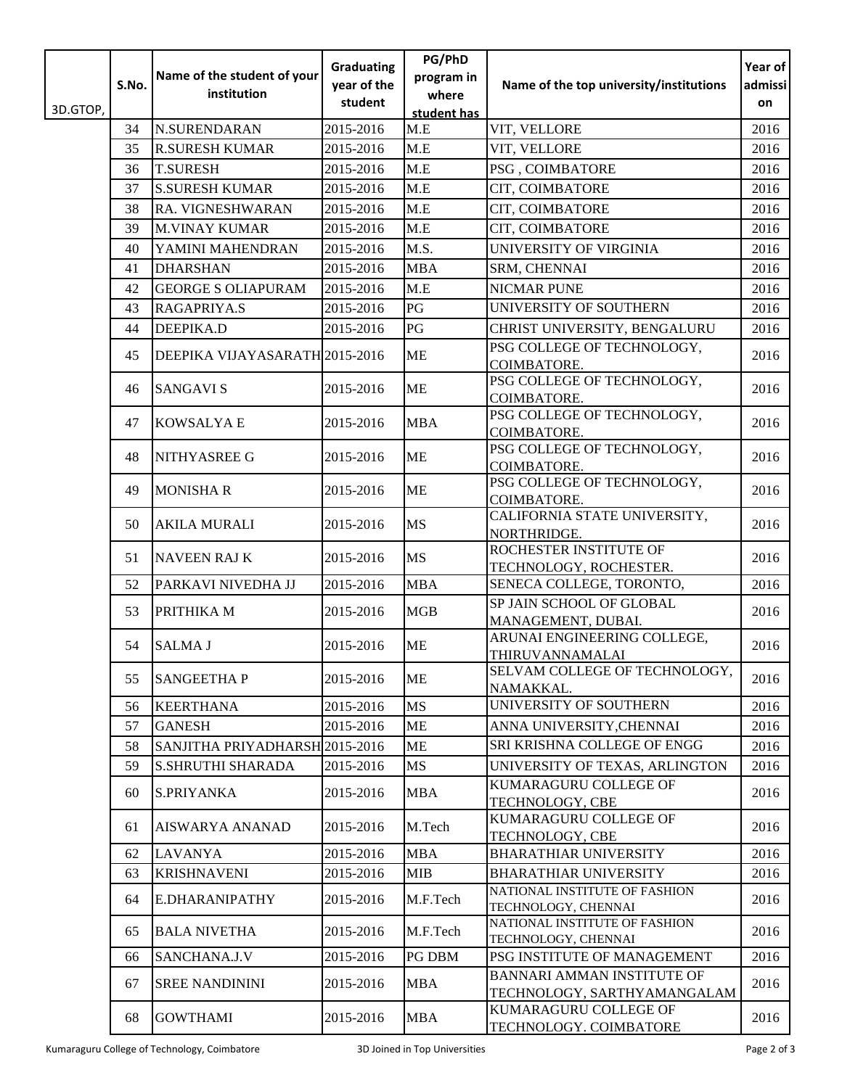|          | S.No. | Name of the student of your    | <b>Graduating</b><br>year of the | PG/PhD<br>program in | Name of the top university/institutions                          | Year of<br>admissi |
|----------|-------|--------------------------------|----------------------------------|----------------------|------------------------------------------------------------------|--------------------|
|          |       | institution                    | student                          | where                |                                                                  | on                 |
| 3D.GTOP, |       |                                |                                  | student has          |                                                                  |                    |
|          | 34    | <b>N.SURENDARAN</b>            | 2015-2016                        | M.E                  | VIT, VELLORE                                                     | 2016               |
|          | 35    | <b>R.SURESH KUMAR</b>          | 2015-2016                        | M.E                  | VIT, VELLORE                                                     | 2016               |
|          | 36    | <b>T.SURESH</b>                | 2015-2016                        | M.E                  | PSG, COIMBATORE                                                  | 2016               |
|          | 37    | <b>S.SURESH KUMAR</b>          | 2015-2016                        | M.E                  | CIT, COIMBATORE                                                  | 2016               |
|          | 38    | RA. VIGNESHWARAN               | 2015-2016                        | M.E                  | CIT, COIMBATORE                                                  | 2016               |
|          | 39    | <b>M.VINAY KUMAR</b>           | 2015-2016                        | M.E                  | CIT, COIMBATORE                                                  | 2016               |
|          | 40    | YAMINI MAHENDRAN               | 2015-2016                        | M.S.                 | UNIVERSITY OF VIRGINIA                                           | 2016               |
|          | 41    | <b>DHARSHAN</b>                | 2015-2016                        | <b>MBA</b>           | SRM, CHENNAI                                                     | 2016               |
|          | 42    | <b>GEORGE S OLIAPURAM</b>      | 2015-2016                        | M.E                  | <b>NICMAR PUNE</b>                                               | 2016               |
|          | 43    | RAGAPRIYA.S                    | 2015-2016                        | PG                   | UNIVERSITY OF SOUTHERN                                           | 2016               |
|          | 44    | DEEPIKA.D                      | 2015-2016                        | PG                   | CHRIST UNIVERSITY, BENGALURU                                     | 2016               |
|          | 45    | DEEPIKA VIJAYASARATH 2015-2016 |                                  | <b>ME</b>            | PSG COLLEGE OF TECHNOLOGY,<br>COIMBATORE.                        | 2016               |
|          | 46    | <b>SANGAVI S</b>               | 2015-2016                        | <b>ME</b>            | PSG COLLEGE OF TECHNOLOGY,<br>COIMBATORE.                        | 2016               |
|          | 47    | <b>KOWSALYA E</b>              | 2015-2016                        | <b>MBA</b>           | PSG COLLEGE OF TECHNOLOGY,<br>COIMBATORE.                        | 2016               |
|          | 48    | NITHYASREE G                   | 2015-2016                        | <b>ME</b>            | PSG COLLEGE OF TECHNOLOGY,<br>COIMBATORE.                        | 2016               |
|          | 49    | <b>MONISHAR</b>                | 2015-2016                        | <b>ME</b>            | PSG COLLEGE OF TECHNOLOGY,<br>COIMBATORE.                        | 2016               |
|          | 50    | <b>AKILA MURALI</b>            | 2015-2016                        | <b>MS</b>            | CALIFORNIA STATE UNIVERSITY,<br>NORTHRIDGE.                      | 2016               |
|          | 51    | <b>NAVEEN RAJ K</b>            | 2015-2016                        | <b>MS</b>            | ROCHESTER INSTITUTE OF<br>TECHNOLOGY, ROCHESTER.                 | 2016               |
|          | 52    | PARKAVI NIVEDHA JJ             | 2015-2016                        | <b>MBA</b>           | SENECA COLLEGE, TORONTO,                                         | 2016               |
|          | 53    | PRITHIKA M                     | 2015-2016                        | <b>MGB</b>           | SP JAIN SCHOOL OF GLOBAL<br>MANAGEMENT, DUBAI.                   | 2016               |
|          | 54    | <b>SALMA J</b>                 | 2015-2016                        | <b>ME</b>            | ARUNAI ENGINEERING COLLEGE,<br>THIRUVANNAMALAI                   | 2016               |
|          | 55    | <b>SANGEETHAP</b>              | 2015-2016                        | ME                   | SELVAM COLLEGE OF TECHNOLOGY,<br>NAMAKKAL.                       | 2016               |
|          | 56    | <b>KEERTHANA</b>               | 2015-2016                        | <b>MS</b>            | UNIVERSITY OF SOUTHERN                                           | 2016               |
|          | 57    | <b>GANESH</b>                  | 2015-2016                        | ME                   | ANNA UNIVERSITY, CHENNAI                                         | 2016               |
|          | 58    | SANJITHA PRIYADHARSH 2015-2016 |                                  | ME                   | SRI KRISHNA COLLEGE OF ENGG                                      | 2016               |
|          | 59    | <b>S.SHRUTHI SHARADA</b>       | 2015-2016                        | MS                   | UNIVERSITY OF TEXAS, ARLINGTON                                   | 2016               |
|          | 60    | <b>S.PRIYANKA</b>              | 2015-2016                        | <b>MBA</b>           | KUMARAGURU COLLEGE OF<br>TECHNOLOGY, CBE                         | 2016               |
|          | 61    | <b>AISWARYA ANANAD</b>         | 2015-2016                        | M.Tech               | KUMARAGURU COLLEGE OF<br>TECHNOLOGY, CBE                         | 2016               |
|          | 62    | <b>LAVANYA</b>                 | 2015-2016                        | <b>MBA</b>           | <b>BHARATHIAR UNIVERSITY</b>                                     | 2016               |
|          | 63    | <b>KRISHNAVENI</b>             | 2015-2016                        | MIB                  | <b>BHARATHIAR UNIVERSITY</b>                                     | 2016               |
|          | 64    | <b>E.DHARANIPATHY</b>          | 2015-2016                        | M.F.Tech             | NATIONAL INSTITUTE OF FASHION<br>TECHNOLOGY, CHENNAI             | 2016               |
|          | 65    | <b>BALA NIVETHA</b>            | 2015-2016                        | M.F.Tech             | NATIONAL INSTITUTE OF FASHION<br>TECHNOLOGY, CHENNAI             | 2016               |
|          | 66    | SANCHANA.J.V                   | 2015-2016                        | PG DBM               | PSG INSTITUTE OF MANAGEMENT                                      | 2016               |
|          | 67    | <b>SREE NANDININI</b>          | 2015-2016                        | <b>MBA</b>           | <b>BANNARI AMMAN INSTITUTE OF</b><br>TECHNOLOGY, SARTHYAMANGALAM | 2016               |
|          | 68    | <b>GOWTHAMI</b>                | 2015-2016                        | MBA                  | KUMARAGURU COLLEGE OF<br>TECHNOLOGY. COIMBATORE                  | 2016               |